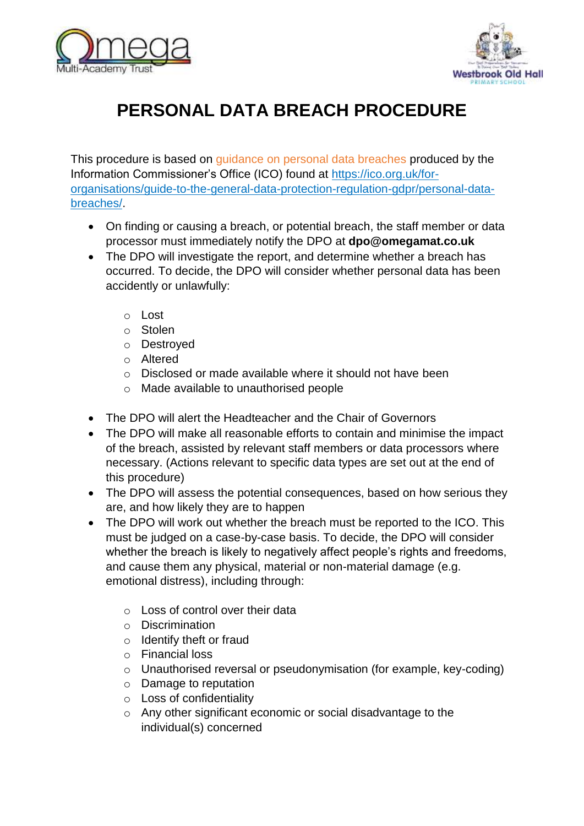



## **PERSONAL DATA BREACH PROCEDURE**

This procedure is based on quidance on personal data breaches produced by the Information Commissioner's Office (ICO) found at https://ico.org.uk/fororganisations/guide-to-the-general-data-protection-regulation-gdpr/personal-databreaches/.

- On finding or causing a breach, or potential breach, the staff member or data processor must immediately notify the DPO at **dpo@omegamat.co.uk**
- The DPO will investigate the report, and determine whether a breach has occurred. To decide, the DPO will consider whether personal data has been accidently or unlawfully:
	- o Lost
	- o Stolen
	- o Destroyed
	- o Altered
	- o Disclosed or made available where it should not have been
	- o Made available to unauthorised people
- The DPO will alert the Headteacher and the Chair of Governors
- The DPO will make all reasonable efforts to contain and minimise the impact of the breach, assisted by relevant staff members or data processors where necessary. (Actions relevant to specific data types are set out at the end of this procedure)
- The DPO will assess the potential consequences, based on how serious they are, and how likely they are to happen
- The DPO will work out whether the breach must be reported to the ICO. This must be judged on a case-by-case basis. To decide, the DPO will consider whether the breach is likely to negatively affect people's rights and freedoms, and cause them any physical, material or non-material damage (e.g. emotional distress), including through:
	- o Loss of control over their data
	- o Discrimination
	- o Identify theft or fraud
	- o Financial loss
	- o Unauthorised reversal or pseudonymisation (for example, key-coding)
	- o Damage to reputation
	- o Loss of confidentiality
	- o Any other significant economic or social disadvantage to the individual(s) concerned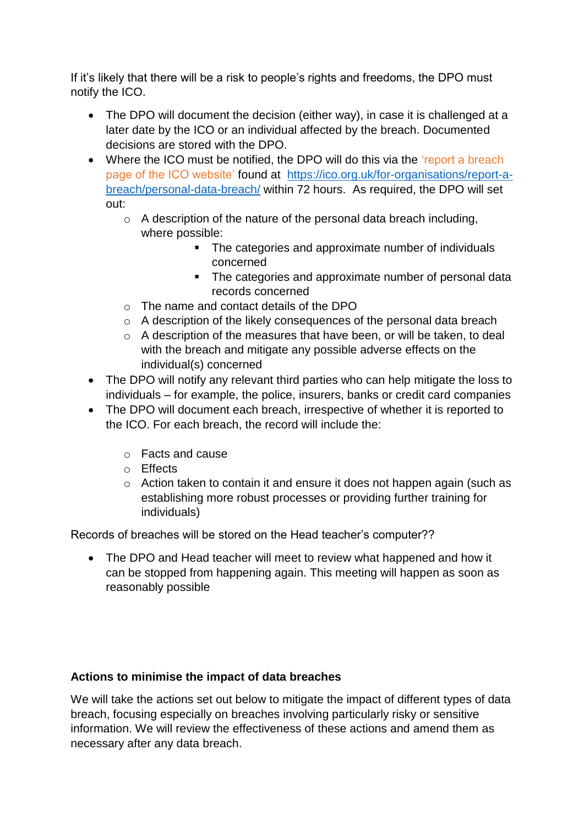If it's likely that there will be a risk to people's rights and freedoms, the DPO must notify the ICO.

- The DPO will document the decision (either way), in case it is challenged at a later date by the ICO or an individual affected by the breach. Documented decisions are stored with the DPO.
- Where the ICO must be notified, the DPO will do this via the 'report a breach page of the ICO website' found at [https://ico.org.uk/for-organisations/report-a](https://ico.org.uk/for-organisations/report-a-breach/personal-data-breach/)[breach/personal-data-breach/](https://ico.org.uk/for-organisations/report-a-breach/personal-data-breach/) within 72 hours. As required, the DPO will set out:
	- $\circ$  A description of the nature of the personal data breach including, where possible:
		- The categories and approximate number of individuals concerned
		- The categories and approximate number of personal data records concerned
	- o The name and contact details of the DPO
	- o A description of the likely consequences of the personal data breach
	- o A description of the measures that have been, or will be taken, to deal with the breach and mitigate any possible adverse effects on the individual(s) concerned
- The DPO will notify any relevant third parties who can help mitigate the loss to individuals – for example, the police, insurers, banks or credit card companies
- The DPO will document each breach, irrespective of whether it is reported to the ICO. For each breach, the record will include the:
	- o Facts and cause
	- o Effects
	- o Action taken to contain it and ensure it does not happen again (such as establishing more robust processes or providing further training for individuals)

Records of breaches will be stored on the Head teacher's computer??

• The DPO and Head teacher will meet to review what happened and how it can be stopped from happening again. This meeting will happen as soon as reasonably possible

## **Actions to minimise the impact of data breaches**

We will take the actions set out below to mitigate the impact of different types of data breach, focusing especially on breaches involving particularly risky or sensitive information. We will review the effectiveness of these actions and amend them as necessary after any data breach.